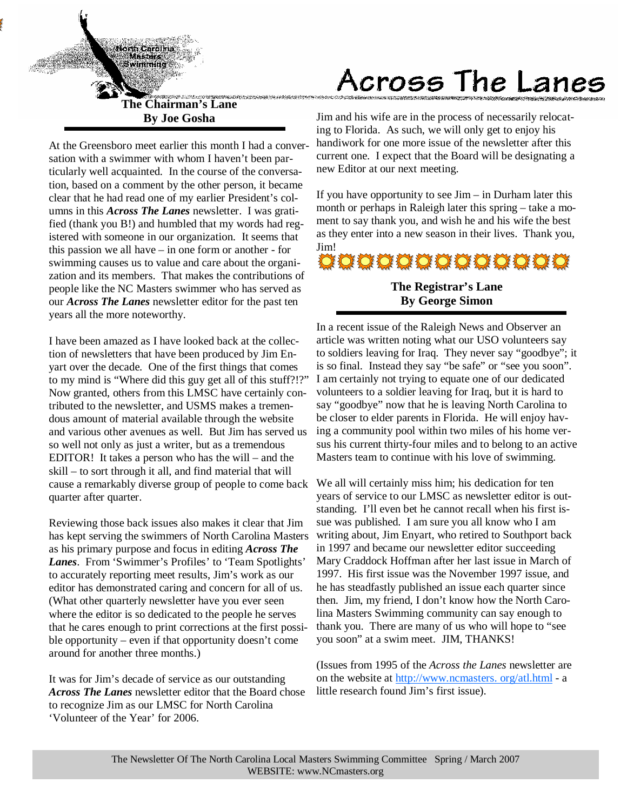

**The Chairman's Lane By Joe Gosha** 

At the Greensboro meet earlier this month I had a conversation with a swimmer with whom I haven't been particularly well acquainted. In the course of the conversation, based on a comment by the other person, it became clear that he had read one of my earlier President's columns in this *Across The Lanes* newsletter. I was gratified (thank you B!) and humbled that my words had registered with someone in our organization. It seems that this passion we all have – in one form or another - for swimming causes us to value and care about the organization and its members. That makes the contributions of people like the NC Masters swimmer who has served as our *Across The Lanes* newsletter editor for the past ten years all the more noteworthy.

I have been amazed as I have looked back at the collection of newsletters that have been produced by Jim Enyart over the decade. One of the first things that comes to my mind is "Where did this guy get all of this stuff?!?" Now granted, others from this LMSC have certainly contributed to the newsletter, and USMS makes a tremendous amount of material available through the website and various other avenues as well. But Jim has served us so well not only as just a writer, but as a tremendous EDITOR! It takes a person who has the will – and the skill – to sort through it all, and find material that will cause a remarkably diverse group of people to come back quarter after quarter.

Reviewing those back issues also makes it clear that Jim has kept serving the swimmers of North Carolina Masters as his primary purpose and focus in editing *Across The Lanes*. From 'Swimmer's Profiles' to 'Team Spotlights' to accurately reporting meet results, Jim's work as our editor has demonstrated caring and concern for all of us. (What other quarterly newsletter have you ever seen where the editor is so dedicated to the people he serves that he cares enough to print corrections at the first possible opportunity – even if that opportunity doesn't come around for another three months.)

It was for Jim's decade of service as our outstanding *Across The Lanes* newsletter editor that the Board chose to recognize Jim as our LMSC for North Carolina 'Volunteer of the Year' for 2006.

# Across The Lanes

Jim and his wife are in the process of necessarily relocating to Florida. As such, we will only get to enjoy his handiwork for one more issue of the newsletter after this current one. I expect that the Board will be designating a new Editor at our next meeting.

If you have opportunity to see  $\lim -$  in Durham later this month or perhaps in Raleigh later this spring – take a moment to say thank you, and wish he and his wife the best as they enter into a new season in their lives. Thank you, Jim!



# **The Registrar's Lane By George Simon**

In a recent issue of the Raleigh News and Observer an article was written noting what our USO volunteers say to soldiers leaving for Iraq. They never say "goodbye"; it is so final. Instead they say "be safe" or "see you soon". I am certainly not trying to equate one of our dedicated volunteers to a soldier leaving for Iraq, but it is hard to say "goodbye" now that he is leaving North Carolina to be closer to elder parents in Florida. He will enjoy having a community pool within two miles of his home versus his current thirty-four miles and to belong to an active Masters team to continue with his love of swimming.

We all will certainly miss him; his dedication for ten years of service to our LMSC as newsletter editor is outstanding. I'll even bet he cannot recall when his first issue was published. I am sure you all know who I am writing about, Jim Enyart, who retired to Southport back in 1997 and became our newsletter editor succeeding Mary Craddock Hoffman after her last issue in March of 1997. His first issue was the November 1997 issue, and he has steadfastly published an issue each quarter since then. Jim, my friend, I don't know how the North Carolina Masters Swimming community can say enough to thank you. There are many of us who will hope to "see you soon" at a swim meet. JIM, THANKS!

(Issues from 1995 of the *Across the Lanes* newsletter are on the website at http://www.ncmasters. org/atl.html - a little research found Jim's first issue).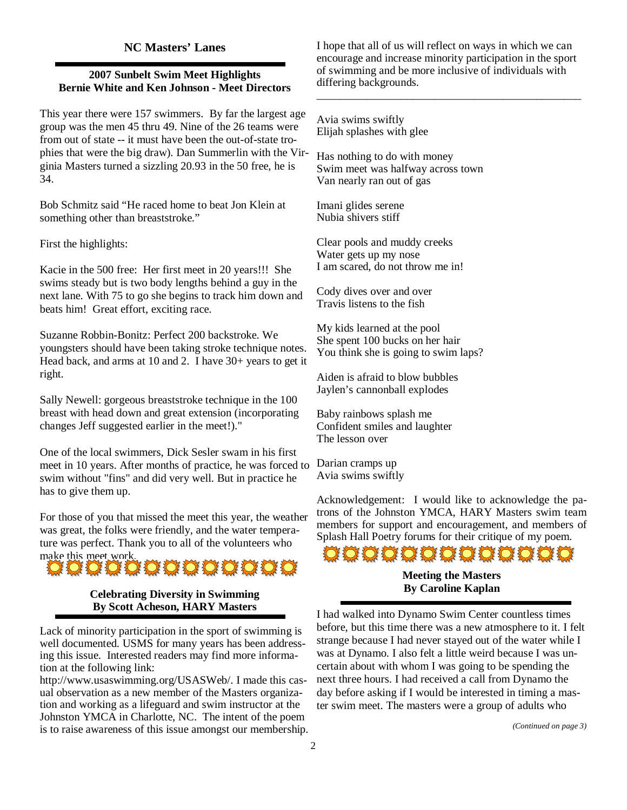# **NC Masters' Lanes**

## **2007 Sunbelt Swim Meet Highlights Bernie White and Ken Johnson - Meet Directors**

This year there were 157 swimmers. By far the largest age group was the men 45 thru 49. Nine of the 26 teams were from out of state -- it must have been the out-of-state trophies that were the big draw). Dan Summerlin with the Virginia Masters turned a sizzling 20.93 in the 50 free, he is 34.

Bob Schmitz said "He raced home to beat Jon Klein at something other than breaststroke."

First the highlights:

Kacie in the 500 free: Her first meet in 20 years!!! She swims steady but is two body lengths behind a guy in the next lane. With 75 to go she begins to track him down and beats him! Great effort, exciting race.

Suzanne Robbin-Bonitz: Perfect 200 backstroke. We youngsters should have been taking stroke technique notes. Head back, and arms at 10 and 2. I have 30+ years to get it right.

Sally Newell: gorgeous breaststroke technique in the 100 breast with head down and great extension (incorporating changes Jeff suggested earlier in the meet!)."

One of the local swimmers, Dick Sesler swam in his first meet in 10 years. After months of practice, he was forced to swim without "fins" and did very well. But in practice he has to give them up.

For those of you that missed the meet this year, the weather was great, the folks were friendly, and the water temperature was perfect. Thank you to all of the volunteers who



### **Celebrating Diversity in Swimming By Scott Acheson, HARY Masters**

Lack of minority participation in the sport of swimming is well documented. USMS for many years has been addressing this issue. Interested readers may find more information at the following link:

http://www.usaswimming.org/USASWeb/. I made this casual observation as a new member of the Masters organization and working as a lifeguard and swim instructor at the Johnston YMCA in Charlotte, NC. The intent of the poem is to raise awareness of this issue amongst our membership.

I hope that all of us will reflect on ways in which we can encourage and increase minority participation in the sport of swimming and be more inclusive of individuals with differing backgrounds.

\_\_\_\_\_\_\_\_\_\_\_\_\_\_\_\_\_\_\_\_\_\_\_\_\_\_\_\_\_\_\_\_\_\_\_\_\_\_\_\_\_\_\_\_\_\_\_

Avia swims swiftly Elijah splashes with glee

Has nothing to do with money Swim meet was halfway across town Van nearly ran out of gas

Imani glides serene Nubia shivers stiff

Clear pools and muddy creeks Water gets up my nose I am scared, do not throw me in!

Cody dives over and over Travis listens to the fish

My kids learned at the pool She spent 100 bucks on her hair You think she is going to swim laps?

Aiden is afraid to blow bubbles Jaylen's cannonball explodes

Baby rainbows splash me Confident smiles and laughter The lesson over

Darian cramps up Avia swims swiftly

Acknowledgement: I would like to acknowledge the patrons of the Johnston YMCA, HARY Masters swim team members for support and encouragement, and members of Splash Hall Poetry forums for their critique of my poem.



**By Caroline Kaplan** 

I had walked into Dynamo Swim Center countless times before, but this time there was a new atmosphere to it. I felt strange because I had never stayed out of the water while I was at Dynamo. I also felt a little weird because I was uncertain about with whom I was going to be spending the next three hours. I had received a call from Dynamo the day before asking if I would be interested in timing a master swim meet. The masters were a group of adults who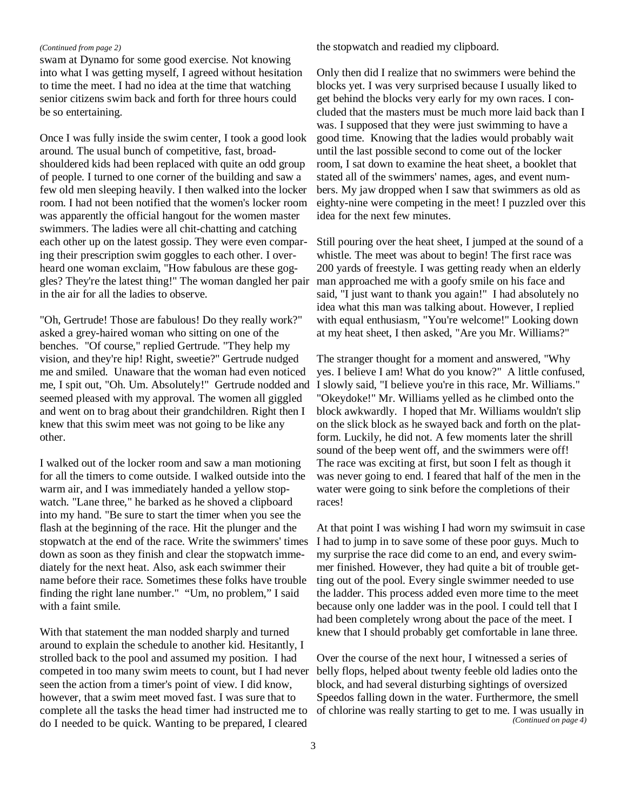#### *(Continued from page 2)*

swam at Dynamo for some good exercise. Not knowing into what I was getting myself*,* I agreed without hesitation to time the meet. I had no idea at the time that watching senior citizens swim back and forth for three hours could be so entertaining.

Once I was fully inside the swim center, I took a good look around. The usual bunch of competitive, fast, broadshouldered kids had been replaced with quite an odd group of people. I turned to one corner of the building and saw a few old men sleeping heavily. I then walked into the locker room. I had not been notified that the women's locker room was apparently the official hangout for the women master swimmers. The ladies were all chit-chatting and catching each other up on the latest gossip. They were even comparing their prescription swim goggles to each other. I overheard one woman exclaim, "How fabulous are these goggles? They're the latest thing!" The woman dangled her pair in the air for all the ladies to observe.

"Oh, Gertrude! Those are fabulous! Do they really work?" asked a grey-haired woman who sitting on one of the benches. "Of course," replied Gertrude. "They help my vision, and they're hip! Right, sweetie?" Gertrude nudged me and smiled. Unaware that the woman had even noticed me, I spit out, "Oh. Um. Absolutely!" Gertrude nodded and seemed pleased with my approval. The women all giggled and went on to brag about their grandchildren. Right then I knew that this swim meet was not going to be like any other.

I walked out of the locker room and saw a man motioning for all the timers to come outside. I walked outside into the warm air, and I was immediately handed a yellow stopwatch. "Lane three," he barked as he shoved a clipboard into my hand. "Be sure to start the timer when you see the flash at the beginning of the race. Hit the plunger and the stopwatch at the end of the race. Write the swimmers' times down as soon as they finish and clear the stopwatch immediately for the next heat. Also, ask each swimmer their name before their race. Sometimes these folks have trouble finding the right lane number." "Um, no problem," I said with a faint smile.

With that statement the man nodded sharply and turned around to explain the schedule to another kid. Hesitantly, I strolled back to the pool and assumed my position. I had competed in too many swim meets to count, but I had never seen the action from a timer's point of view. I did know, however, that a swim meet moved fast. I was sure that to complete all the tasks the head timer had instructed me to do I needed to be quick. Wanting to be prepared, I cleared

the stopwatch and readied my clipboard.

Only then did I realize that no swimmers were behind the blocks yet. I was very surprised because I usually liked to get behind the blocks very early for my own races. I concluded that the masters must be much more laid back than I was. I supposed that they were just swimming to have a good time. Knowing that the ladies would probably wait until the last possible second to come out of the locker room, I sat down to examine the heat sheet, a booklet that stated all of the swimmers' names, ages, and event numbers. My jaw dropped when I saw that swimmers as old as eighty-nine were competing in the meet! I puzzled over this idea for the next few minutes.

Still pouring over the heat sheet, I jumped at the sound of a whistle. The meet was about to begin! The first race was 200 yards of freestyle. I was getting ready when an elderly man approached me with a goofy smile on his face and said, "I just want to thank you again!" I had absolutely no idea what this man was talking about. However, I replied with equal enthusiasm, "You're welcome!" Looking down at my heat sheet, I then asked, "Are you Mr. Williams?"

The stranger thought for a moment and answered, "Why yes. I believe I am! What do you know?" A little confused, I slowly said, "I believe you're in this race, Mr. Williams." "Okeydoke!" Mr. Williams yelled as he climbed onto the block awkwardly. I hoped that Mr. Williams wouldn't slip on the slick block as he swayed back and forth on the platform. Luckily, he did not. A few moments later the shrill sound of the beep went off, and the swimmers were off! The race was exciting at first, but soon I felt as though it was never going to end. I feared that half of the men in the water were going to sink before the completions of their races!

At that point I was wishing I had worn my swimsuit in case I had to jump in to save some of these poor guys. Much to my surprise the race did come to an end, and every swimmer finished. However, they had quite a bit of trouble getting out of the pool. Every single swimmer needed to use the ladder. This process added even more time to the meet because only one ladder was in the pool. I could tell that I had been completely wrong about the pace of the meet. I knew that I should probably get comfortable in lane three.

Over the course of the next hour, I witnessed a series of belly flops, helped about twenty feeble old ladies onto the block, and had several disturbing sightings of oversized Speedos falling down in the water. Furthermore, the smell of chlorine was really starting to get to me. I was usually in *(Continued on page 4)*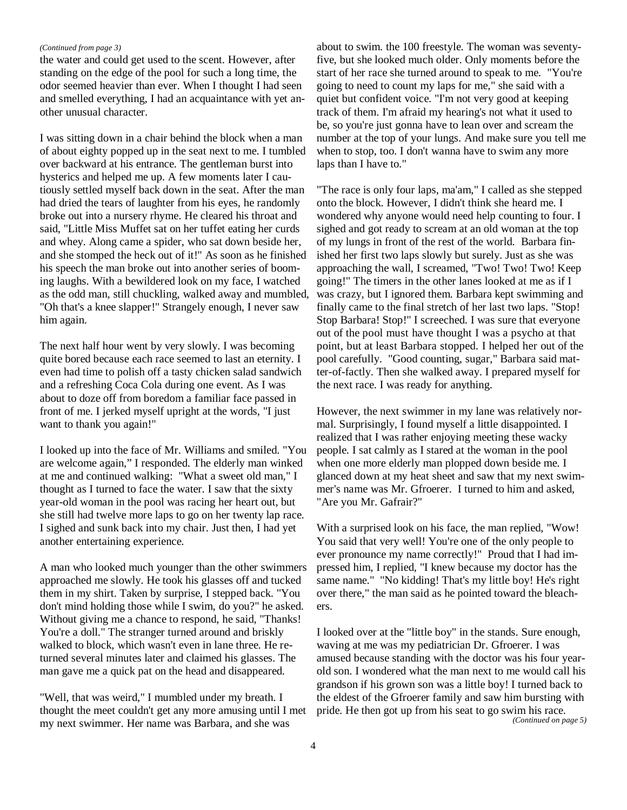#### *(Continued from page 3)*

the water and could get used to the scent. However, after standing on the edge of the pool for such a long time, the odor seemed heavier than ever. When I thought I had seen and smelled everything, I had an acquaintance with yet another unusual character.

I was sitting down in a chair behind the block when a man of about eighty popped up in the seat next to me. I tumbled over backward at his entrance. The gentleman burst into hysterics and helped me up. A few moments later I cautiously settled myself back down in the seat. After the man had dried the tears of laughter from his eyes, he randomly broke out into a nursery rhyme. He cleared his throat and said, "Little Miss Muffet sat on her tuffet eating her curds and whey. Along came a spider, who sat down beside her, and she stomped the heck out of it!" As soon as he finished his speech the man broke out into another series of booming laughs. With a bewildered look on my face, I watched as the odd man, still chuckling, walked away and mumbled, "Oh that's a knee slapper!" Strangely enough, I never saw him again.

The next half hour went by very slowly. I was becoming quite bored because each race seemed to last an eternity. I even had time to polish off a tasty chicken salad sandwich and a refreshing Coca Cola during one event. As I was about to doze off from boredom a familiar face passed in front of me. I jerked myself upright at the words, "I just want to thank you again!"

I looked up into the face of Mr. Williams and smiled. "You are welcome again," I responded. The elderly man winked at me and continued walking: "What a sweet old man," I thought as I turned to face the water. I saw that the sixty year-old woman in the pool was racing her heart out, but she still had twelve more laps to go on her twenty lap race. I sighed and sunk back into my chair. Just then, I had yet another entertaining experience.

A man who looked much younger than the other swimmers approached me slowly. He took his glasses off and tucked them in my shirt. Taken by surprise, I stepped back. "You don't mind holding those while I swim, do you?" he asked. Without giving me a chance to respond, he said, "Thanks! You're a doll." The stranger turned around and briskly walked to block, which wasn't even in lane three. He returned several minutes later and claimed his glasses. The man gave me a quick pat on the head and disappeared.

"Well, that was weird," I mumbled under my breath. I thought the meet couldn't get any more amusing until I met my next swimmer. Her name was Barbara, and she was

about to swim. the 100 freestyle. The woman was seventyfive, but she looked much older. Only moments before the start of her race she turned around to speak to me. "You're going to need to count my laps for me," she said with a quiet but confident voice. "I'm not very good at keeping track of them. I'm afraid my hearing's not what it used to be, so you're just gonna have to lean over and scream the number at the top of your lungs. And make sure you tell me when to stop, too. I don't wanna have to swim any more laps than I have to."

"The race is only four laps, ma'am," I called as she stepped onto the block. However, I didn't think she heard me. I wondered why anyone would need help counting to four. I sighed and got ready to scream at an old woman at the top of my lungs in front of the rest of the world. Barbara finished her first two laps slowly but surely. Just as she was approaching the wall, I screamed, "Two! Two! Two! Keep going!" The timers in the other lanes looked at me as if I was crazy, but I ignored them. Barbara kept swimming and finally came to the final stretch of her last two laps. "Stop! Stop Barbara! Stop!" I screeched. I was sure that everyone out of the pool must have thought I was a psycho at that point, but at least Barbara stopped. I helped her out of the pool carefully. "Good counting, sugar," Barbara said matter-of-factly. Then she walked away. I prepared myself for the next race. I was ready for anything.

However, the next swimmer in my lane was relatively normal. Surprisingly, I found myself a little disappointed. I realized that I was rather enjoying meeting these wacky people. I sat calmly as I stared at the woman in the pool when one more elderly man plopped down beside me. I glanced down at my heat sheet and saw that my next swimmer's name was Mr. Gfroerer. I turned to him and asked, "Are you Mr. Gafrair?"

With a surprised look on his face, the man replied, "Wow! You said that very well! You're one of the only people to ever pronounce my name correctly!" Proud that I had impressed him, I replied, "I knew because my doctor has the same name." "No kidding! That's my little boy! He's right over there," the man said as he pointed toward the bleachers.

I looked over at the "little boy" in the stands. Sure enough, waving at me was my pediatrician Dr. Gfroerer. I was amused because standing with the doctor was his four yearold son. I wondered what the man next to me would call his grandson if his grown son was a little boy! I turned back to the eldest of the Gfroerer family and saw him bursting with pride. He then got up from his seat to go swim his race. *(Continued on page 5)*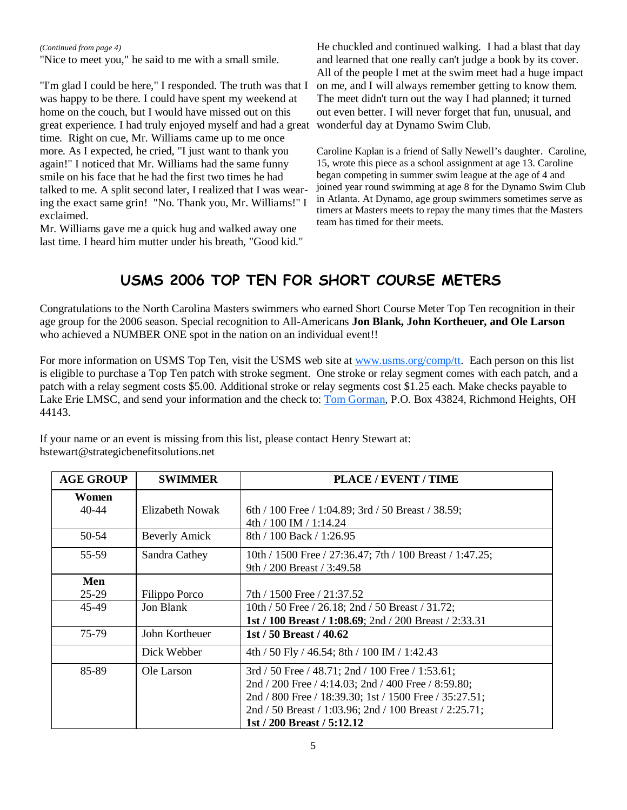*(Continued from page 4)* 

"Nice to meet you," he said to me with a small smile.

"I'm glad I could be here," I responded. The truth was that I was happy to be there. I could have spent my weekend at home on the couch, but I would have missed out on this great experience. I had truly enjoyed myself and had a great wonderful day at Dynamo Swim Club. time. Right on cue, Mr. Williams came up to me once more. As I expected, he cried, "I just want to thank you again!" I noticed that Mr. Williams had the same funny smile on his face that he had the first two times he had talked to me. A split second later, I realized that I was wearing the exact same grin! "No. Thank you, Mr. Williams!" I exclaimed.

Mr. Williams gave me a quick hug and walked away one last time. I heard him mutter under his breath, "Good kid." He chuckled and continued walking. I had a blast that day and learned that one really can't judge a book by its cover. All of the people I met at the swim meet had a huge impact on me, and I will always remember getting to know them. The meet didn't turn out the way I had planned; it turned out even better. I will never forget that fun, unusual, and

Caroline Kaplan is a friend of Sally Newell's daughter. Caroline, 15, wrote this piece as a school assignment at age 13. Caroline began competing in summer swim league at the age of 4 and joined year round swimming at age 8 for the Dynamo Swim Club in Atlanta. At Dynamo, age group swimmers sometimes serve as timers at Masters meets to repay the many times that the Masters team has timed for their meets.

# USMS 2006 TOP TEN FOR SHORT COURSE METERS

Congratulations to the North Carolina Masters swimmers who earned Short Course Meter Top Ten recognition in their age group for the 2006 season. Special recognition to All-Americans **Jon Blank, John Kortheuer, and Ole Larson** who achieved a NUMBER ONE spot in the nation on an individual event!!

For more information on USMS Top Ten, visit the USMS web site at www.usms.org/comp/tt. Each person on this list is eligible to purchase a Top Ten patch with stroke segment. One stroke or relay segment comes with each patch, and a patch with a relay segment costs \$5.00. Additional stroke or relay segments cost \$1.25 each. Make checks payable to Lake Erie LMSC, and send your information and the check to: Tom Gorman, P.O. Box 43824, Richmond Heights, OH 44143.

| <b>AGE GROUP</b>   | <b>SWIMMER</b>       | <b>PLACE / EVENT / TIME</b>                              |
|--------------------|----------------------|----------------------------------------------------------|
| Women<br>$40 - 44$ | Elizabeth Nowak      | 6th / 100 Free / 1:04.89; 3rd / 50 Breast / 38.59;       |
|                    |                      | 4th / 100 IM / 1:14.24                                   |
| 50-54              | <b>Beverly Amick</b> | 8th / 100 Back / 1:26.95                                 |
| 55-59              | Sandra Cathey        | 10th / 1500 Free / 27:36.47; 7th / 100 Breast / 1:47.25; |
|                    |                      | 9th / 200 Breast / 3:49.58                               |
| Men                |                      |                                                          |
| $25-29$            | Filippo Porco        | 7th / 1500 Free / 21:37.52                               |
| 45-49              | Jon Blank            | 10th / 50 Free / 26.18; 2nd / 50 Breast / 31.72;         |
|                    |                      | 1st / 100 Breast / 1:08.69; 2nd / 200 Breast / 2:33.31   |
| 75-79              | John Kortheuer       | 1st / 50 Breast / 40.62                                  |
|                    | Dick Webber          | 4th / 50 Fly / 46.54; 8th / 100 IM / 1:42.43             |
| 85-89              | Ole Larson           | $3rd / 50$ Free / 48.71; 2nd / 100 Free / 1:53.61;       |
|                    |                      | 2nd / 200 Free / 4:14.03; 2nd / 400 Free / 8:59.80;      |
|                    |                      | 2nd / 800 Free / 18:39.30; 1st / 1500 Free / 35:27.51;   |
|                    |                      | 2nd / 50 Breast / 1:03.96; 2nd / 100 Breast / 2:25.71;   |
|                    |                      | 1st / 200 Breast / 5:12.12                               |

If your name or an event is missing from this list, please contact Henry Stewart at: hstewart@strategicbenefitsolutions.net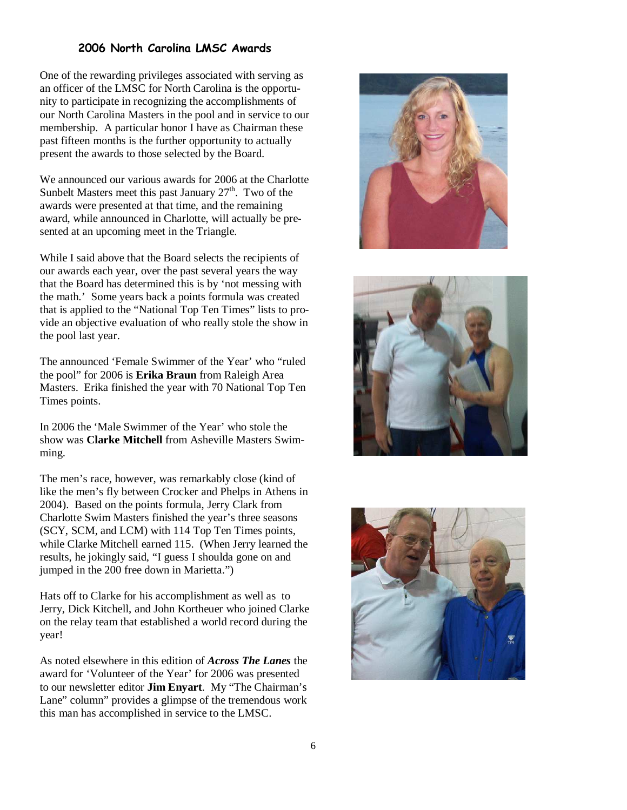# 2006 North Carolina LMSC Awards

One of the rewarding privileges associated with serving as an officer of the LMSC for North Carolina is the opportunity to participate in recognizing the accomplishments of our North Carolina Masters in the pool and in service to our membership. A particular honor I have as Chairman these past fifteen months is the further opportunity to actually present the awards to those selected by the Board.

We announced our various awards for 2006 at the Charlotte Sunbelt Masters meet this past January  $27<sup>th</sup>$ . Two of the awards were presented at that time, and the remaining award, while announced in Charlotte, will actually be presented at an upcoming meet in the Triangle.

While I said above that the Board selects the recipients of our awards each year, over the past several years the way that the Board has determined this is by 'not messing with the math.' Some years back a points formula was created that is applied to the "National Top Ten Times" lists to provide an objective evaluation of who really stole the show in the pool last year.

The announced 'Female Swimmer of the Year' who "ruled the pool" for 2006 is **Erika Braun** from Raleigh Area Masters. Erika finished the year with 70 National Top Ten Times points.

In 2006 the 'Male Swimmer of the Year' who stole the show was **Clarke Mitchell** from Asheville Masters Swimming.

The men's race, however, was remarkably close (kind of like the men's fly between Crocker and Phelps in Athens in 2004). Based on the points formula, Jerry Clark from Charlotte Swim Masters finished the year's three seasons (SCY, SCM, and LCM) with 114 Top Ten Times points, while Clarke Mitchell earned 115. (When Jerry learned the results, he jokingly said, "I guess I shoulda gone on and jumped in the 200 free down in Marietta.")

Hats off to Clarke for his accomplishment as well as to Jerry, Dick Kitchell, and John Kortheuer who joined Clarke on the relay team that established a world record during the year!

As noted elsewhere in this edition of *Across The Lanes* the award for 'Volunteer of the Year' for 2006 was presented to our newsletter editor **Jim Enyart**. My "The Chairman's Lane" column" provides a glimpse of the tremendous work this man has accomplished in service to the LMSC.





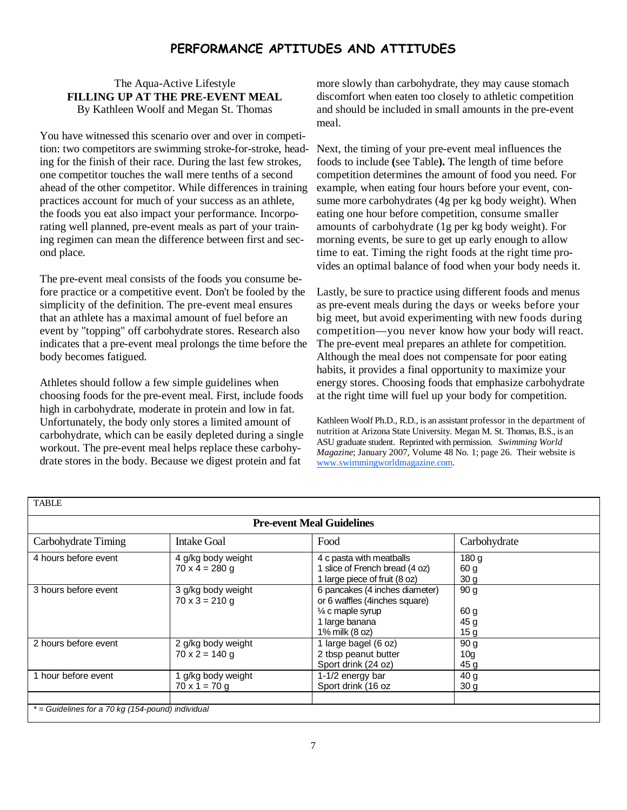# PERFORMANCE APTITUDES AND ATTITUDES

### The Aqua-Active Lifestyle **FILLING UP AT THE PRE-EVENT MEAL**  By Kathleen Woolf and Megan St. Thomas

You have witnessed this scenario over and over in competition: two competitors are swimming stroke-for-stroke, heading for the finish of their race. During the last few strokes, one competitor touches the wall mere tenths of a second ahead of the other competitor. While differences in training practices account for much of your success as an athlete, the foods you eat also impact your performance. Incorporating well planned, pre-event meals as part of your training regimen can mean the difference between first and second place.

The pre-event meal consists of the foods you consume before practice or a competitive event. Don't be fooled by the simplicity of the definition. The pre-event meal ensures that an athlete has a maximal amount of fuel before an event by "topping" off carbohydrate stores. Research also indicates that a pre-event meal prolongs the time before the body becomes fatigued.

Athletes should follow a few simple guidelines when choosing foods for the pre-event meal. First, include foods high in carbohydrate, moderate in protein and low in fat. Unfortunately, the body only stores a limited amount of carbohydrate, which can be easily depleted during a single workout. The pre-event meal helps replace these carbohydrate stores in the body. Because we digest protein and fat

more slowly than carbohydrate, they may cause stomach discomfort when eaten too closely to athletic competition and should be included in small amounts in the pre-event meal.

Next, the timing of your pre-event meal influences the foods to include **(**see Table**).** The length of time before competition determines the amount of food you need. For example, when eating four hours before your event, consume more carbohydrates (4g per kg body weight). When eating one hour before competition, consume smaller amounts of carbohydrate (1g per kg body weight). For morning events, be sure to get up early enough to allow time to eat. Timing the right foods at the right time provides an optimal balance of food when your body needs it.

Lastly, be sure to practice using different foods and menus as pre-event meals during the days or weeks before your big meet, but avoid experimenting with new foods during competition—you never know how your body will react. The pre-event meal prepares an athlete for competition. Although the meal does not compensate for poor eating habits, it provides a final opportunity to maximize your energy stores. Choosing foods that emphasize carbohydrate at the right time will fuel up your body for competition.

Kathleen Woolf Ph.D., R.D., is an assistant professor in the department of nutrition at Arizona State University. Megan M. St. Thomas, B.S., is an ASU graduate student. Reprinted with permission. *Swimming World Magazine*; January 2007, Volume 48 No. 1; page 26. Their website is www.swimmingworldmagazine.com.

| <b>Pre-event Meal Guidelines</b> |                                             |                                                                                                                                    |                                                    |  |  |  |
|----------------------------------|---------------------------------------------|------------------------------------------------------------------------------------------------------------------------------------|----------------------------------------------------|--|--|--|
| Carbohydrate Timing              | <b>Intake Goal</b>                          | Food                                                                                                                               | Carbohydrate                                       |  |  |  |
| 4 hours before event             | 4 g/kg body weight<br>$70 \times 4 = 280$ g | 4 c pasta with meatballs<br>1 slice of French bread (4 oz)<br>1 large piece of fruit (8 oz)                                        | 180q<br>60 g<br>30 <sub>g</sub>                    |  |  |  |
| 3 hours before event             | 3 g/kg body weight<br>$70 \times 3 = 210$ g | 6 pancakes (4 inches diameter)<br>or 6 waffles (4inches square)<br>$\frac{1}{4}$ c maple syrup<br>1 large banana<br>1% milk (8 oz) | 90 <sub>g</sub><br>60 g<br>45 g<br>15 <sub>g</sub> |  |  |  |
| 2 hours before event             | 2 g/kg body weight<br>$70 \times 2 = 140$ g | 1 large bagel (6 oz)<br>2 tbsp peanut butter<br>Sport drink (24 oz)                                                                | 90 <sub>g</sub><br>10 <sub>g</sub><br>45 g         |  |  |  |
| 1 hour before event              | g/kg body weight<br>$70 \times 1 = 70$ q    | 1-1/2 energy bar<br>Sport drink (16 oz                                                                                             | 40 <sub>g</sub><br>30 <sub>g</sub>                 |  |  |  |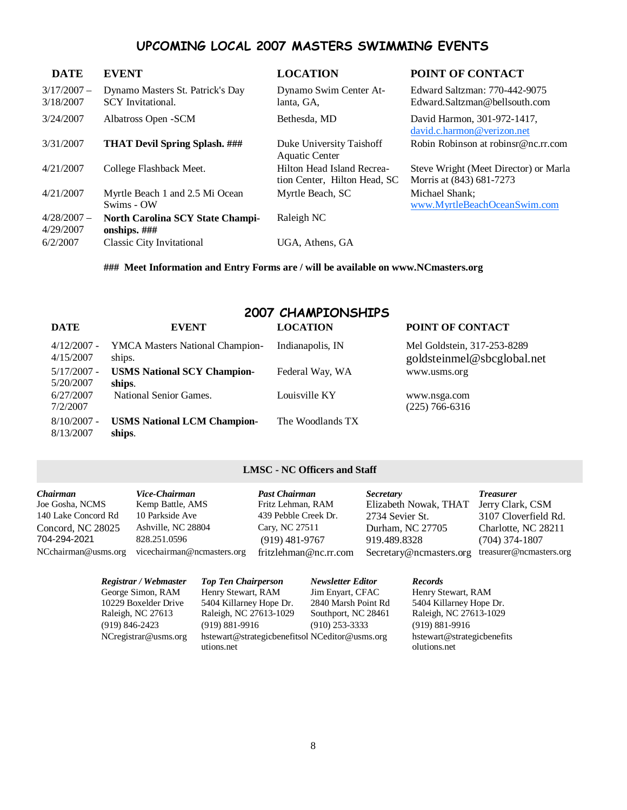# UPCOMING LOCAL 2007 MASTERS SWIMMING EVENTS

| <b>DATE</b>                | <b>EVENT</b>                                                 | <b>LOCATION</b>                                            | POINT OF CONTACT                                                  |
|----------------------------|--------------------------------------------------------------|------------------------------------------------------------|-------------------------------------------------------------------|
| $3/17/2007 -$<br>3/18/2007 | Dynamo Masters St. Patrick's Day<br><b>SCY</b> Invitational. | Dynamo Swim Center At-<br>lanta, GA,                       | Edward Saltzman: 770-442-9075<br>Edward.Saltzman@bellsouth.com    |
| 3/24/2007                  | Albatross Open - SCM                                         | Bethesda, MD                                               | David Harmon, 301-972-1417,<br>david.c.harmon@verizon.net         |
| 3/31/2007                  | <b>THAT Devil Spring Splash.</b> ###                         | Duke University Taishoff<br><b>Aquatic Center</b>          | Robin Robinson at robinsr@nc.rr.com                               |
| 4/21/2007                  | College Flashback Meet.                                      | Hilton Head Island Recrea-<br>tion Center, Hilton Head, SC | Steve Wright (Meet Director) or Marla<br>Morris at (843) 681-7273 |
| 4/21/2007                  | Myrtle Beach 1 and 2.5 Mi Ocean<br>Swims - OW                | Myrtle Beach, SC                                           | Michael Shank;<br>www.MyrtleBeachOceanSwim.com                    |
| $4/28/2007 -$<br>4/29/2007 | <b>North Carolina SCY State Champi-</b><br>onships. $\# \#$  | Raleigh NC                                                 |                                                                   |
| 6/2/2007                   | <b>Classic City Invitational</b>                             | UGA, Athens, GA                                            |                                                                   |

**### Meet Information and Entry Forms are / will be available on www.NCmasters.org** 

#### 2007 CHAMPIONSHIPS **DATE EVENT LOCATION POINT OF CONTACT**

| <i><u>DA LE</u></i> | в тем                              | LUUATIVI         | TUINT OF CONTACT            |
|---------------------|------------------------------------|------------------|-----------------------------|
| $4/12/2007$ -       | YMCA Masters National Champion-    | Indianapolis, IN | Mel Goldstein, 317-253-8289 |
| 4/15/2007           | ships.                             |                  | goldsteinmel@sbcglobal.net  |
| $5/17/2007 -$       | <b>USMS National SCY Champion-</b> | Federal Way, WA  | www.usms.org                |
| 5/20/2007           | ships.                             |                  |                             |
| 6/27/2007           | National Senior Games.             | Louisville KY    | www.nsga.com                |
| 7/2/2007            |                                    |                  | $(225)$ 766-6316            |
| $8/10/2007$ -       | <b>USMS National LCM Champion-</b> | The Woodlands TX |                             |
| 8/13/2007           | ships.                             |                  |                             |

# **LMSC - NC Officers and Staff**

| Chairman            | Vice-Chairman              | <b>Past Chairman</b>  | <i>Secretary</i>        | <b>Treasurer</b>        |
|---------------------|----------------------------|-----------------------|-------------------------|-------------------------|
| Joe Gosha, NCMS     | Kemp Battle, AMS           | Fritz Lehman, RAM     | Elizabeth Nowak, THAT   | Jerry Clark, CSM        |
| 140 Lake Concord Rd | 10 Parkside Ave            | 439 Pebble Creek Dr.  | 2734 Sevier St.         | 3107 Cloverfield Rd.    |
| Concord, NC 28025   | Ashville, NC 28804         | Cary, NC 27511        | Durham, NC 27705        | Charlotte, NC 28211     |
| 704-294-2021        | 828.251.0596               | $(919)$ 481-9767      | 919.489.8328            | $(704)$ 374-1807        |
| NCchairman@usms.org | vicechairman@ncmasters.org | fritzlehman@nc.rr.com | Secretary@ncmasters.org | treasurer@ncmasters.org |

| Registrar / Webmaster   | <b>Top Ten Chairperson</b>                     | <b>Newsletter Editor</b> | <b>Records</b>             |
|-------------------------|------------------------------------------------|--------------------------|----------------------------|
| George Simon, RAM       | Henry Stewart, RAM                             | Jim Envart, CFAC         | Henry Stewart, RAM         |
| 10229 Boxelder Drive    | 5404 Killarney Hope Dr.                        | 2840 Marsh Point Rd      | 5404 Killarney Hope Dr.    |
| Raleigh, NC 27613       | Raleigh, NC 27613-1029                         | Southport, NC 28461      | Raleigh, NC 27613-1029     |
| $(919) 846 - 2423$      | $(919) 881 - 9916$                             | $(910)$ 253-3333         | $(919) 881 - 9916$         |
| $NC$ registrar@usms.org | hstewart@strategicbenefitsol NCeditor@usms.org |                          | hstewart@strategicbenefits |
|                         | utions.net                                     |                          | olutions.net               |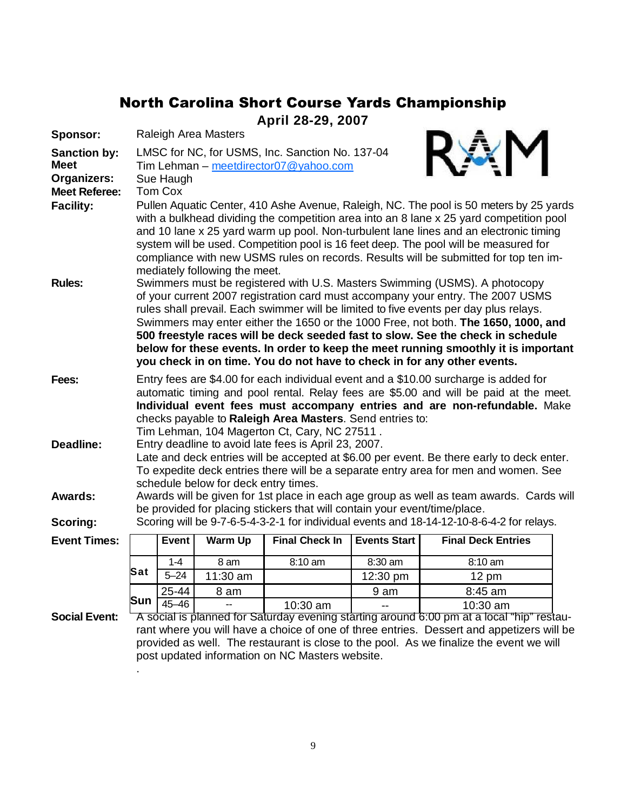# North Carolina Short Course Yards Championship

**April 28-29, 2007**

| Sponsor:                                                                  | Raleigh Area Masters                                                                                                                                                                                                                                                                                                                                                                                                                                                                                                                                                                                                                                                                                                                                                                                                                        |           |                |                                                                           |                     |                                                                                                                                                                       |  |  |  |  |
|---------------------------------------------------------------------------|---------------------------------------------------------------------------------------------------------------------------------------------------------------------------------------------------------------------------------------------------------------------------------------------------------------------------------------------------------------------------------------------------------------------------------------------------------------------------------------------------------------------------------------------------------------------------------------------------------------------------------------------------------------------------------------------------------------------------------------------------------------------------------------------------------------------------------------------|-----------|----------------|---------------------------------------------------------------------------|---------------------|-----------------------------------------------------------------------------------------------------------------------------------------------------------------------|--|--|--|--|
| <b>Sanction by:</b><br><b>Meet</b><br>Organizers:<br><b>Meet Referee:</b> | LMSC for NC, for USMS, Inc. Sanction No. 137-04<br>Tim Lehman - meetdirector07@yahoo.com<br>Sue Haugh<br>Tom Cox                                                                                                                                                                                                                                                                                                                                                                                                                                                                                                                                                                                                                                                                                                                            |           |                |                                                                           |                     |                                                                                                                                                                       |  |  |  |  |
| <b>Facility:</b><br><b>Rules:</b>                                         | Pullen Aquatic Center, 410 Ashe Avenue, Raleigh, NC. The pool is 50 meters by 25 yards<br>with a bulkhead dividing the competition area into an 8 lane x 25 yard competition pool<br>and 10 lane x 25 yard warm up pool. Non-turbulent lane lines and an electronic timing<br>system will be used. Competition pool is 16 feet deep. The pool will be measured for<br>compliance with new USMS rules on records. Results will be submitted for top ten im-<br>mediately following the meet.<br>Swimmers must be registered with U.S. Masters Swimming (USMS). A photocopy<br>of your current 2007 registration card must accompany your entry. The 2007 USMS<br>rules shall prevail. Each swimmer will be limited to five events per day plus relays.<br>Swimmers may enter either the 1650 or the 1000 Free, not both. The 1650, 1000, and |           |                |                                                                           |                     |                                                                                                                                                                       |  |  |  |  |
|                                                                           |                                                                                                                                                                                                                                                                                                                                                                                                                                                                                                                                                                                                                                                                                                                                                                                                                                             |           |                |                                                                           |                     | 500 freestyle races will be deck seeded fast to slow. See the check in schedule<br>below for these events. In order to keep the meet running smoothly it is important |  |  |  |  |
|                                                                           |                                                                                                                                                                                                                                                                                                                                                                                                                                                                                                                                                                                                                                                                                                                                                                                                                                             |           |                |                                                                           |                     | you check in on time. You do not have to check in for any other events.                                                                                               |  |  |  |  |
| Fees:                                                                     | Entry fees are \$4.00 for each individual event and a \$10.00 surcharge is added for<br>automatic timing and pool rental. Relay fees are \$5.00 and will be paid at the meet.<br>Individual event fees must accompany entries and are non-refundable. Make<br>checks payable to Raleigh Area Masters. Send entries to:                                                                                                                                                                                                                                                                                                                                                                                                                                                                                                                      |           |                |                                                                           |                     |                                                                                                                                                                       |  |  |  |  |
| <b>Deadline:</b>                                                          | Tim Lehman, 104 Magerton Ct, Cary, NC 27511.<br>Entry deadline to avoid late fees is April 23, 2007.<br>Late and deck entries will be accepted at \$6.00 per event. Be there early to deck enter.<br>To expedite deck entries there will be a separate entry area for men and women. See<br>schedule below for deck entry times.                                                                                                                                                                                                                                                                                                                                                                                                                                                                                                            |           |                |                                                                           |                     |                                                                                                                                                                       |  |  |  |  |
| <b>Awards:</b>                                                            |                                                                                                                                                                                                                                                                                                                                                                                                                                                                                                                                                                                                                                                                                                                                                                                                                                             |           |                |                                                                           |                     | Awards will be given for 1st place in each age group as well as team awards. Cards will                                                                               |  |  |  |  |
| <b>Scoring:</b>                                                           |                                                                                                                                                                                                                                                                                                                                                                                                                                                                                                                                                                                                                                                                                                                                                                                                                                             |           |                | be provided for placing stickers that will contain your event/time/place. |                     | Scoring will be 9-7-6-5-4-3-2-1 for individual events and 18-14-12-10-8-6-4-2 for relays.                                                                             |  |  |  |  |
| <b>Event Times:</b>                                                       |                                                                                                                                                                                                                                                                                                                                                                                                                                                                                                                                                                                                                                                                                                                                                                                                                                             | Event     | <b>Warm Up</b> | <b>Final Check In</b>                                                     | <b>Events Start</b> | <b>Final Deck Entries</b>                                                                                                                                             |  |  |  |  |
|                                                                           |                                                                                                                                                                                                                                                                                                                                                                                                                                                                                                                                                                                                                                                                                                                                                                                                                                             | $1 - 4$   | 8 am           | 8:10 am                                                                   | 8:30 am             | 8:10 am                                                                                                                                                               |  |  |  |  |
|                                                                           | Sat                                                                                                                                                                                                                                                                                                                                                                                                                                                                                                                                                                                                                                                                                                                                                                                                                                         | $5 - 24$  | 11:30 am       |                                                                           | 12:30 pm            | $12 \text{ pm}$                                                                                                                                                       |  |  |  |  |
|                                                                           |                                                                                                                                                                                                                                                                                                                                                                                                                                                                                                                                                                                                                                                                                                                                                                                                                                             | 25-44     | 8 am           |                                                                           | 9 am                | 8:45 am                                                                                                                                                               |  |  |  |  |
|                                                                           | Sun                                                                                                                                                                                                                                                                                                                                                                                                                                                                                                                                                                                                                                                                                                                                                                                                                                         | $45 - 46$ |                | 10:30 am                                                                  |                     | 10:30 am                                                                                                                                                              |  |  |  |  |
| <b>Social Event:</b>                                                      |                                                                                                                                                                                                                                                                                                                                                                                                                                                                                                                                                                                                                                                                                                                                                                                                                                             |           |                |                                                                           |                     | A social is planned for Saturday evening starting around 6:00 pm at a local "hip" restau-                                                                             |  |  |  |  |
|                                                                           |                                                                                                                                                                                                                                                                                                                                                                                                                                                                                                                                                                                                                                                                                                                                                                                                                                             |           |                |                                                                           |                     | rant where you will have a choice of one of three entries. Dessert and appetizers will be                                                                             |  |  |  |  |
|                                                                           |                                                                                                                                                                                                                                                                                                                                                                                                                                                                                                                                                                                                                                                                                                                                                                                                                                             |           |                |                                                                           |                     | provided as well. The restaurant is close to the pool. As we finalize the event we will                                                                               |  |  |  |  |
|                                                                           | post updated information on NC Masters website.                                                                                                                                                                                                                                                                                                                                                                                                                                                                                                                                                                                                                                                                                                                                                                                             |           |                |                                                                           |                     |                                                                                                                                                                       |  |  |  |  |

.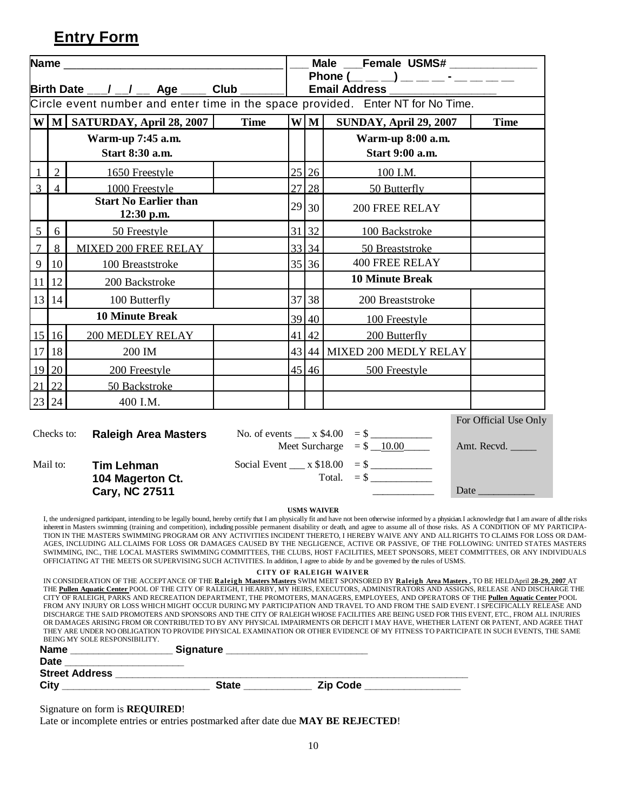# **Entry Form**

|                                                                                 |                                                                                                                                                                                                                                                                                                                                                                                                                                                                                                                                                                                                                                                                                                                                                                                                                                                                                                                                                                                                                                                                                                                                                                     |                                                                                                                                             | Male ___Female USMS# ____________ |                                                         |                      |                             |                                                                                                                                                                                                                               |  |
|---------------------------------------------------------------------------------|---------------------------------------------------------------------------------------------------------------------------------------------------------------------------------------------------------------------------------------------------------------------------------------------------------------------------------------------------------------------------------------------------------------------------------------------------------------------------------------------------------------------------------------------------------------------------------------------------------------------------------------------------------------------------------------------------------------------------------------------------------------------------------------------------------------------------------------------------------------------------------------------------------------------------------------------------------------------------------------------------------------------------------------------------------------------------------------------------------------------------------------------------------------------|---------------------------------------------------------------------------------------------------------------------------------------------|-----------------------------------|---------------------------------------------------------|----------------------|-----------------------------|-------------------------------------------------------------------------------------------------------------------------------------------------------------------------------------------------------------------------------|--|
|                                                                                 |                                                                                                                                                                                                                                                                                                                                                                                                                                                                                                                                                                                                                                                                                                                                                                                                                                                                                                                                                                                                                                                                                                                                                                     |                                                                                                                                             |                                   | Phone $(\_\_ \_ )$ $(\_\_ \_ \_ )$ $\_\_$ $\_\_$ $\_\_$ |                      |                             |                                                                                                                                                                                                                               |  |
|                                                                                 | Birth Date ___/ __/ __ Age ____<br>Club                                                                                                                                                                                                                                                                                                                                                                                                                                                                                                                                                                                                                                                                                                                                                                                                                                                                                                                                                                                                                                                                                                                             |                                                                                                                                             |                                   |                                                         | <b>Email Address</b> |                             |                                                                                                                                                                                                                               |  |
| Circle event number and enter time in the space provided. Enter NT for No Time. |                                                                                                                                                                                                                                                                                                                                                                                                                                                                                                                                                                                                                                                                                                                                                                                                                                                                                                                                                                                                                                                                                                                                                                     |                                                                                                                                             |                                   |                                                         |                      |                             |                                                                                                                                                                                                                               |  |
|                                                                                 |                                                                                                                                                                                                                                                                                                                                                                                                                                                                                                                                                                                                                                                                                                                                                                                                                                                                                                                                                                                                                                                                                                                                                                     | W M SATURDAY, April 28, 2007                                                                                                                | <b>Time</b>                       |                                                         | W M                  | SUNDAY, April 29, 2007      | <b>Time</b>                                                                                                                                                                                                                   |  |
|                                                                                 |                                                                                                                                                                                                                                                                                                                                                                                                                                                                                                                                                                                                                                                                                                                                                                                                                                                                                                                                                                                                                                                                                                                                                                     | Warm-up 7:45 a.m.                                                                                                                           |                                   |                                                         |                      | Warm-up 8:00 a.m.           |                                                                                                                                                                                                                               |  |
|                                                                                 |                                                                                                                                                                                                                                                                                                                                                                                                                                                                                                                                                                                                                                                                                                                                                                                                                                                                                                                                                                                                                                                                                                                                                                     | Start 8:30 a.m.                                                                                                                             |                                   |                                                         |                      | Start 9:00 a.m.             |                                                                                                                                                                                                                               |  |
|                                                                                 | $\overline{2}$                                                                                                                                                                                                                                                                                                                                                                                                                                                                                                                                                                                                                                                                                                                                                                                                                                                                                                                                                                                                                                                                                                                                                      | 1650 Freestyle                                                                                                                              |                                   |                                                         | 25 26                | 100 I.M.                    |                                                                                                                                                                                                                               |  |
| $\overline{3}$                                                                  | $\overline{4}$                                                                                                                                                                                                                                                                                                                                                                                                                                                                                                                                                                                                                                                                                                                                                                                                                                                                                                                                                                                                                                                                                                                                                      | 1000 Freestyle                                                                                                                              |                                   |                                                         | 27 28                | 50 Butterfly                |                                                                                                                                                                                                                               |  |
|                                                                                 |                                                                                                                                                                                                                                                                                                                                                                                                                                                                                                                                                                                                                                                                                                                                                                                                                                                                                                                                                                                                                                                                                                                                                                     | <b>Start No Earlier than</b><br>12:30 p.m.                                                                                                  |                                   |                                                         | 29 30                | <b>200 FREE RELAY</b>       |                                                                                                                                                                                                                               |  |
| $\overline{5}$                                                                  | 6                                                                                                                                                                                                                                                                                                                                                                                                                                                                                                                                                                                                                                                                                                                                                                                                                                                                                                                                                                                                                                                                                                                                                                   | 50 Freestyle                                                                                                                                |                                   |                                                         | 31 32                | 100 Backstroke              |                                                                                                                                                                                                                               |  |
| $\overline{7}$                                                                  | 8                                                                                                                                                                                                                                                                                                                                                                                                                                                                                                                                                                                                                                                                                                                                                                                                                                                                                                                                                                                                                                                                                                                                                                   | MIXED 200 FREE RELAY                                                                                                                        |                                   |                                                         | 33 34                | 50 Breaststroke             |                                                                                                                                                                                                                               |  |
| $\mathbf{9}$                                                                    | 10                                                                                                                                                                                                                                                                                                                                                                                                                                                                                                                                                                                                                                                                                                                                                                                                                                                                                                                                                                                                                                                                                                                                                                  | 100 Breaststroke                                                                                                                            |                                   |                                                         | 35 36                | <b>400 FREE RELAY</b>       |                                                                                                                                                                                                                               |  |
| 11                                                                              | 12                                                                                                                                                                                                                                                                                                                                                                                                                                                                                                                                                                                                                                                                                                                                                                                                                                                                                                                                                                                                                                                                                                                                                                  | 200 Backstroke                                                                                                                              |                                   |                                                         |                      | <b>10 Minute Break</b>      |                                                                                                                                                                                                                               |  |
|                                                                                 | 13 14                                                                                                                                                                                                                                                                                                                                                                                                                                                                                                                                                                                                                                                                                                                                                                                                                                                                                                                                                                                                                                                                                                                                                               | 100 Butterfly                                                                                                                               |                                   |                                                         | 37 38                | 200 Breaststroke            |                                                                                                                                                                                                                               |  |
|                                                                                 |                                                                                                                                                                                                                                                                                                                                                                                                                                                                                                                                                                                                                                                                                                                                                                                                                                                                                                                                                                                                                                                                                                                                                                     | <b>10 Minute Break</b>                                                                                                                      |                                   |                                                         | 39 40                | 100 Freestyle               |                                                                                                                                                                                                                               |  |
|                                                                                 | $15$ 16                                                                                                                                                                                                                                                                                                                                                                                                                                                                                                                                                                                                                                                                                                                                                                                                                                                                                                                                                                                                                                                                                                                                                             | <b>200 MEDLEY RELAY</b>                                                                                                                     |                                   |                                                         | $41 \, 42$           | 200 Butterfly               |                                                                                                                                                                                                                               |  |
|                                                                                 | 17 18                                                                                                                                                                                                                                                                                                                                                                                                                                                                                                                                                                                                                                                                                                                                                                                                                                                                                                                                                                                                                                                                                                                                                               | 200 IM                                                                                                                                      |                                   |                                                         |                      | 43 44 MIXED 200 MEDLY RELAY |                                                                                                                                                                                                                               |  |
|                                                                                 | 19 20                                                                                                                                                                                                                                                                                                                                                                                                                                                                                                                                                                                                                                                                                                                                                                                                                                                                                                                                                                                                                                                                                                                                                               | 200 Freestyle                                                                                                                               |                                   |                                                         | $45 \, 46$           | 500 Freestyle               |                                                                                                                                                                                                                               |  |
|                                                                                 | $21 \,   22$                                                                                                                                                                                                                                                                                                                                                                                                                                                                                                                                                                                                                                                                                                                                                                                                                                                                                                                                                                                                                                                                                                                                                        | 50 Backstroke                                                                                                                               |                                   |                                                         |                      |                             |                                                                                                                                                                                                                               |  |
|                                                                                 | 23 24                                                                                                                                                                                                                                                                                                                                                                                                                                                                                                                                                                                                                                                                                                                                                                                                                                                                                                                                                                                                                                                                                                                                                               | 400 I.M.                                                                                                                                    |                                   |                                                         |                      |                             |                                                                                                                                                                                                                               |  |
|                                                                                 |                                                                                                                                                                                                                                                                                                                                                                                                                                                                                                                                                                                                                                                                                                                                                                                                                                                                                                                                                                                                                                                                                                                                                                     |                                                                                                                                             |                                   |                                                         |                      |                             | For Official Use Only                                                                                                                                                                                                         |  |
|                                                                                 | Checks to:                                                                                                                                                                                                                                                                                                                                                                                                                                                                                                                                                                                                                                                                                                                                                                                                                                                                                                                                                                                                                                                                                                                                                          | <b>Raleigh Area Masters</b>                                                                                                                 |                                   |                                                         |                      | No. of events $x $4.00 = $$ |                                                                                                                                                                                                                               |  |
|                                                                                 |                                                                                                                                                                                                                                                                                                                                                                                                                                                                                                                                                                                                                                                                                                                                                                                                                                                                                                                                                                                                                                                                                                                                                                     |                                                                                                                                             |                                   |                                                         |                      |                             | Amt. Recvd.                                                                                                                                                                                                                   |  |
|                                                                                 | Mail to:                                                                                                                                                                                                                                                                                                                                                                                                                                                                                                                                                                                                                                                                                                                                                                                                                                                                                                                                                                                                                                                                                                                                                            | <b>Tim Lehman</b>                                                                                                                           |                                   |                                                         |                      |                             |                                                                                                                                                                                                                               |  |
|                                                                                 |                                                                                                                                                                                                                                                                                                                                                                                                                                                                                                                                                                                                                                                                                                                                                                                                                                                                                                                                                                                                                                                                                                                                                                     | 104 Magerton Ct.                                                                                                                            |                                   |                                                         |                      | Total. = $\frac{1}{2}$      |                                                                                                                                                                                                                               |  |
|                                                                                 |                                                                                                                                                                                                                                                                                                                                                                                                                                                                                                                                                                                                                                                                                                                                                                                                                                                                                                                                                                                                                                                                                                                                                                     | <b>Cary, NC 27511</b>                                                                                                                       |                                   |                                                         |                      |                             | Date and the same of the same of the same of the same of the same of the same of the same of the same of the same of the same of the same of the same of the same of the same of the same of the same of the same of the same |  |
|                                                                                 | <b>USMS WAIVER</b><br>I, the undersigned participant, intending to be legally bound, hereby certify that I am physically fit and have not been otherwise informed by a physician. I acknowledge that I am aware of all the risks<br>inherent in Masters swimming (training and competition), including possible permanent disability or death, and agree to assume all of those risks. AS A CONDITION OF MY PARTICIPA-<br>TION IN THE MASTERS SWIMMING PROGRAM OR ANY ACTIVITIES INCIDENT THERETO, I HEREBY WAIVE ANY AND ALLRIGHTS TO CLAIMS FOR LOSS OR DAM-<br>AGES, INCLUDING ALL CLAIMS FOR LOSS OR DAMAGES CAUSED BY THE NEGLIGENCE, ACTIVE OR PASSIVE, OF THE FOLLOWING: UNITED STATES MASTERS<br>SWIMMING, INC., THE LOCAL MASTERS SWIMMING COMMITTEES, THE CLUBS, HOST FACILITIES, MEET SPONSORS, MEET COMMITTEES, OR ANY INDIVIDUALS<br>OFFICIATING AT THE MEETS OR SUPERVISING SUCH ACTIVITIES. In addition, I agree to abide by and be governed by the rules of USMS.<br><b>CITY OF RALEIGH WAIVER</b><br>IN CONSIDERATION OF THE ACCEPTANCE OF THE Raleigh Masters Masters SWIM MEET SPONSORED BY Raleigh Area Masters, TO BE HELDApril 28-29, 2007 AT |                                                                                                                                             |                                   |                                                         |                      |                             |                                                                                                                                                                                                                               |  |
|                                                                                 |                                                                                                                                                                                                                                                                                                                                                                                                                                                                                                                                                                                                                                                                                                                                                                                                                                                                                                                                                                                                                                                                                                                                                                     | THE Pullen Aquatic Center POOL OF THE CITY OF RALEIGH, I HEARBY, MY HEIRS, EXECUTORS, ADMINISTRATORS AND ASSIGNS, RELEASE AND DISCHARGE THE |                                   |                                                         |                      |                             |                                                                                                                                                                                                                               |  |

THE **Pullen Aquatic Center** POOL OF THE CITY OF RALEIGH, I HEARBY, MY HEIRS, EXECUTORS, ADMINISTRATORS AND ASSIGNS, RELEASE AND DISCHARGE THE CITY OF RALEIGH, PARKS AND RECREATION DEPARTMENT, THE PROMOTERS, MANAGERS, EMPLOYEES, AND OPERATORS OF THE **Pullen Aquatic Center** POOL FROM ANY INJURY OR LOSS WHICH MIGHT OCCUR DURING MY PARTICIPATION AND TRAVEL TO AND FROM THE SAID EVENT. I SPECIFICALLY RELEASE AND DISCHARGE THE SAID PROMOTERS AND SPONSORS AND THE CITY OF RALEIGH WHOSE FACILITIES ARE BEING USED FOR THIS EVENT, ETC., FROM ALL INJURIES OR DAMAGES ARISING FROM OR CONTRIBUTED TO BY ANY PHYSICAL IMPAIRMENTS OR DEFICIT I MAY HAVE, WHETHER LATENT OR PATENT, AND AGREE THAT THEY ARE UNDER NO OBLIGATION TO PROVIDE PHYSICAL EXAMINATION OR OTHER EVIDENCE OF MY FITNESS TO PARTICIPATE IN SUCH EVENTS, THE SAME BEING MY SOLE RESPONSIBILITY.

| <u>DLIN THE DOLL NEDI ONDIBILITI.</u><br><b>Name</b> | <b>Signature</b> |                 |
|------------------------------------------------------|------------------|-----------------|
| <b>Date</b>                                          |                  |                 |
| <b>Street Address</b>                                |                  |                 |
| City                                                 | <b>State</b>     | <b>Zip Code</b> |

Signature on form is **REQUIRED**!

Late or incomplete entries or entries postmarked after date due **MAY BE REJECTED**!